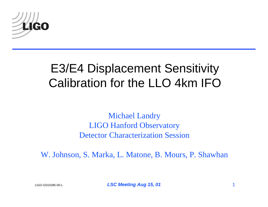

# E3/E4 Displacement Sensitivity Calibration for the LLO 4km IFO

Michael Landry LIGO Hanford Observatory Detector Characterization Session

W. Johnson, S. Marka, L. Matone, B. Mours, P. Shawhan

LIGO-G010285-00-L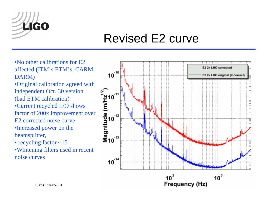

#### Revised E2 curve

•No other calibrations for E2 affected (ITM's ETM's, CARM, DARM)

•Original calibration agreed with independent Oct. 30 version (bad ETM calibration)

•Current recycled IFO shows factor of 200x improvement over E2 corrected noise curve

•Increased power on the beamsplitter,

• recycling factor ~15

•Whitening filters used in recent noise curves

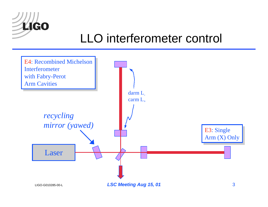

# LLO interferometer control

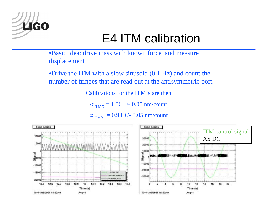

# E4 ITM calibration

•Basic idea: drive mass with known force and measure displacement

•Drive the ITM with a slow sinusoid (0.1 Hz) and count the number of fringes that are read out at the antisymmetric port.

Calibrations for the ITM's are then

 $\alpha_{\rm ITMX}^{}=1.06$  +/-  $0.05$  nm/count

 $\alpha_{\rm ITMY}$  = 0.98 +/- 0.05 nm/count

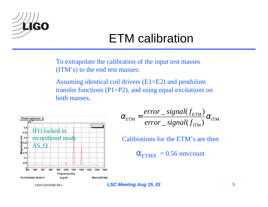

# ETM calibration

To extrapolate the calibration of the input test masses (ITM's) to the end test masses:

Assuming identical coil drivers (E1=E2) and pendulum transfer functions  $(P1=P2)$ , and using equal excitations on both masses,



$$
\alpha_{\text{ETM}} = \frac{error\_signal(f_{\text{ETM}})}{error\_signal(f_{\text{ITM}})} \alpha_{\text{ITM}}
$$

Calibrations for the ETM's are then

 $\alpha_{\rm ETMX}^{}=0.56$  nm/count

LIGO-G010285-00-L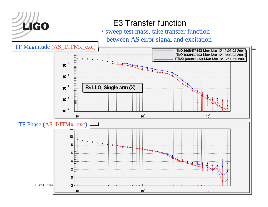

#### E3 Transfer function

• sweep test mass, take transfer function between AS error signal and excitation

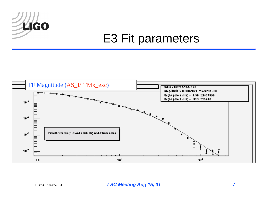

### E3 Fit parameters



LIGO-G010285-00-L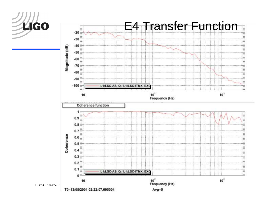

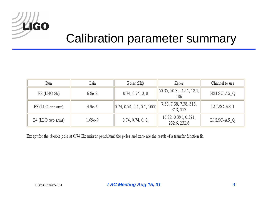

#### Calibration parameter summary

| Run               | Gain     | Poles (Hz)                                         | Zeros                                    | Channel to use |
|-------------------|----------|----------------------------------------------------|------------------------------------------|----------------|
| $E2$ (LHO 2k)     | $6.8e-8$ | 0.74, 0.74, 0, 0                                   | $\vert$ 50.35, 50.35, 12.1, 12.1,<br>186 | H2:LSC-AS Q    |
| E3 (LLO one arm)  | $4.9e-6$ | $\parallel$ 0.74, 0.74, 0.1, 0.1, 1000 $\parallel$ | 7.38, 7.38, 7.38, 313,<br>313, 313       | L1:LSC-AS I    |
| E4 (LLO two arms) | 1.69e-9  | 0.74, 0.74, 0, 0,                                  | 16.82, 0.391, 0.391,<br>232.6, 232.6     | L1:LSC-AS_Q    |

Except for the double pole at 0.74 Hz (mirror pendulum) the poles and zero are the result of a transfer function fit.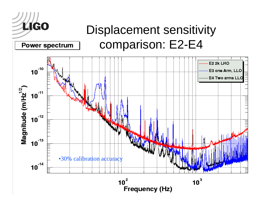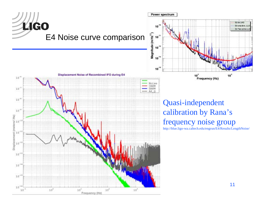